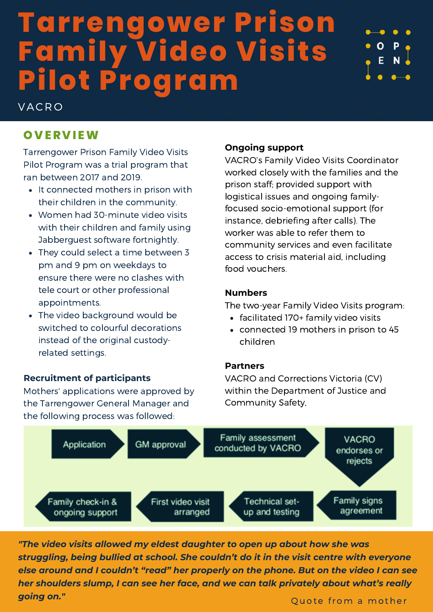## **Tarrengower Prison Family Video Visits Pilot Program**

# O E

## **OV ER V I EW**

**VACRO** 

Tarrengower Prison Family Video Visits Pilot Program was a trial program that ran between 2017 and 2019.

- It connected mothers in prison with their children in the community.
- Women had 30-minute video visits with their children and family using Jabberguest software fortnightly.
- They could select a time between 3 pm and 9 pm on weekdays to ensure there were no clashes with tele court or other professional appointments.
- The video background would be switched to colourful decorations instead of the original custodyrelated settings.

## **Recruitment of participants**

Mothers' applications were approved by the Tarrengower General Manager and the following process was followed:

## **Ongoing support**

VACRO's Family Video Visits Coordinator worked closely with the families and the prison staff; provided support with logistical issues and ongoing familyfocused socio-emotional support (for instance, debriefing after calls). The worker was able to refer them to community services and even facilitate access to crisis material aid, including food vouchers.

#### **Numbers**

The two-year Family Video Visits program:

- facilitated 170+ family video visits
- connected 19 mothers in prison to 45 children

## **Partners**

VACRO and Corrections Victoria (CV) within the Department of Justice and Community Safety,



*"The video visits allowed my eldest daughter to open up about how she was struggling, being bullied at school. She couldn't do it in the visit centre with everyone else around and I couldn't "read" her properly on the phone. But on the video I can see her shoulders slump, I can see her face, and we can talk privately about what's really going on."*

Quote from a mother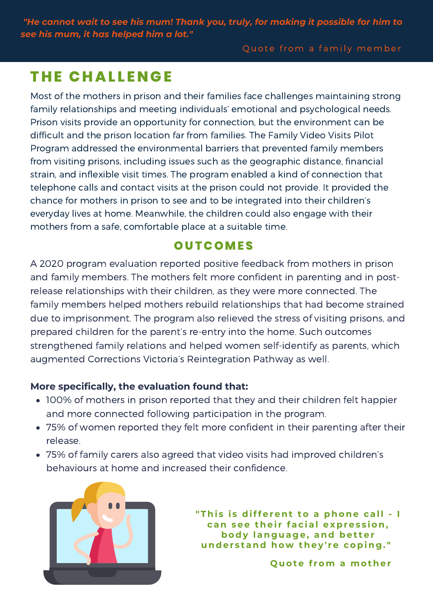*"He cannot wait to see his mum! Thank you, truly, for making it possible for him to see his mum, it has helped him a lot."*

Quote from a family member

## **T H E CHAL L ENGE**

Most of the mothers in prison and their families face challenges maintaining strong family relationships and meeting individuals' emotional and psychological needs. Prison visits provide an opportunity for connection, but the environment can be difficult and the prison location far from families. The Family Video Visits Pilot Program addressed the environmental barriers that prevented family members from visiting prisons, including issues such as the geographic distance, financial strain, and inflexible visit times. The program enabled a kind of connection that telephone calls and contact visits at the prison could not provide. It provided the chance for mothers in prison to see and to be integrated into their children's everyday lives at home. Meanwhile, the children could also engage with their mothers from a safe, comfortable place at a suitable time.

## **OU TCOMES**

A 2020 program evaluation reported positive feedback from mothers in prison and family members. The mothers felt more confident in parenting and in postrelease relationships with their children, as they were more connected. The family members helped mothers rebuild relationships that had become strained due to imprisonment. The program also relieved the stress of visiting prisons, and prepared children for the parent's re-entry into the home. Such outcomes strengthened family relations and helped women self-identify as parents, which augmented Corrections Victoria's Reintegration Pathway as well.

## **More specifically, the evaluation found that:**

- 100% of mothers in prison reported that they and their children felt happier and more connected following participation in the program.
- 75% of women reported they felt more confident in their parenting after their release.
- 75% of family carers also agreed that video visits had improved children's behaviours at home and increased their confidence.



**"Thi s i s different to a phone call - I can see thei r fac ial expres s ion, body lan g ua g e, and bet ter under s tand how they ' re copin g . "**

**Q uote f rom a mother**